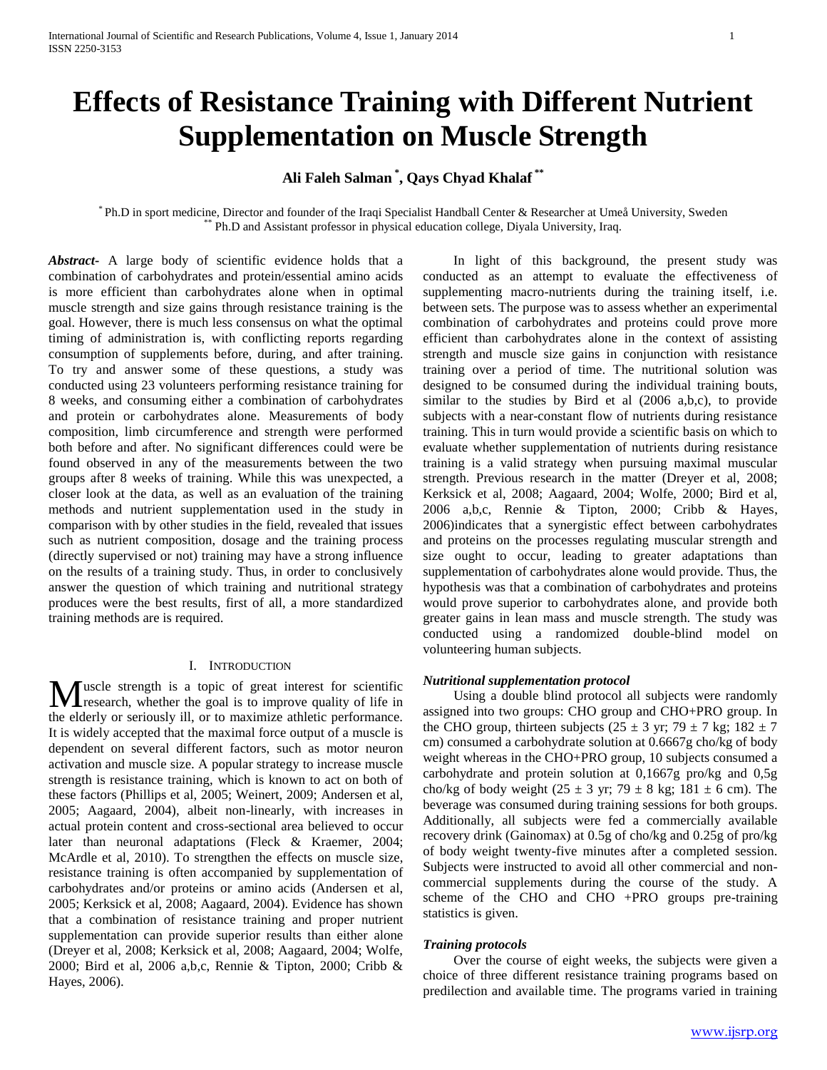# **Effects of Resistance Training with Different Nutrient Supplementation on Muscle Strength**

# **Ali Faleh Salman \* , Qays Chyad Khalaf \*\***

\* Ph.D in sport medicine, Director and founder of the Iraqi Specialist Handball Center & Researcher at Umeå University, Sweden Ph.D and Assistant professor in physical education college, Diyala University, Iraq.

*Abstract***-** A large body of scientific evidence holds that a combination of carbohydrates and protein/essential amino acids is more efficient than carbohydrates alone when in optimal muscle strength and size gains through resistance training is the goal. However, there is much less consensus on what the optimal timing of administration is, with conflicting reports regarding consumption of supplements before, during, and after training. To try and answer some of these questions, a study was conducted using 23 volunteers performing resistance training for 8 weeks, and consuming either a combination of carbohydrates and protein or carbohydrates alone. Measurements of body composition, limb circumference and strength were performed both before and after. No significant differences could were be found observed in any of the measurements between the two groups after 8 weeks of training. While this was unexpected, a closer look at the data, as well as an evaluation of the training methods and nutrient supplementation used in the study in comparison with by other studies in the field, revealed that issues such as nutrient composition, dosage and the training process (directly supervised or not) training may have a strong influence on the results of a training study. Thus, in order to conclusively answer the question of which training and nutritional strategy produces were the best results, first of all, a more standardized training methods are is required.

# I. INTRODUCTION

uscle strength is a topic of great interest for scientific **M** uscle strength is a topic of great interest for scientific<br>research, whether the goal is to improve quality of life in the elderly or seriously ill, or to maximize athletic performance. It is widely accepted that the maximal force output of a muscle is dependent on several different factors, such as motor neuron activation and muscle size. A popular strategy to increase muscle strength is resistance training, which is known to act on both of these factors (Phillips et al, 2005; Weinert, 2009; Andersen et al, 2005; Aagaard, 2004), albeit non-linearly, with increases in actual protein content and cross-sectional area believed to occur later than neuronal adaptations (Fleck & Kraemer, 2004; McArdle et al, 2010). To strengthen the effects on muscle size, resistance training is often accompanied by supplementation of carbohydrates and/or proteins or amino acids (Andersen et al, 2005; Kerksick et al, 2008; Aagaard, 2004). Evidence has shown that a combination of resistance training and proper nutrient supplementation can provide superior results than either alone (Dreyer et al, 2008; Kerksick et al, 2008; Aagaard, 2004; Wolfe, 2000; Bird et al, 2006 a,b,c, Rennie & Tipton, 2000; Cribb & Hayes, 2006).

 In light of this background, the present study was conducted as an attempt to evaluate the effectiveness of supplementing macro-nutrients during the training itself, i.e. between sets. The purpose was to assess whether an experimental combination of carbohydrates and proteins could prove more efficient than carbohydrates alone in the context of assisting strength and muscle size gains in conjunction with resistance training over a period of time. The nutritional solution was designed to be consumed during the individual training bouts, similar to the studies by Bird et al (2006 a,b,c), to provide subjects with a near-constant flow of nutrients during resistance training. This in turn would provide a scientific basis on which to evaluate whether supplementation of nutrients during resistance training is a valid strategy when pursuing maximal muscular strength. Previous research in the matter (Dreyer et al, 2008; Kerksick et al, 2008; Aagaard, 2004; Wolfe, 2000; Bird et al, 2006 a,b,c, Rennie & Tipton, 2000; Cribb & Hayes, 2006)indicates that a synergistic effect between carbohydrates and proteins on the processes regulating muscular strength and size ought to occur, leading to greater adaptations than supplementation of carbohydrates alone would provide. Thus, the hypothesis was that a combination of carbohydrates and proteins would prove superior to carbohydrates alone, and provide both greater gains in lean mass and muscle strength. The study was conducted using a randomized double-blind model on volunteering human subjects.

# *Nutritional supplementation protocol*

 Using a double blind protocol all subjects were randomly assigned into two groups: CHO group and CHO+PRO group. In the CHO group, thirteen subjects ( $25 \pm 3$  yr;  $79 \pm 7$  kg;  $182 \pm 7$ cm) consumed a carbohydrate solution at 0.6667g cho/kg of body weight whereas in the CHO+PRO group, 10 subjects consumed a carbohydrate and protein solution at 0,1667g pro/kg and 0,5g cho/kg of body weight (25  $\pm$  3 yr; 79  $\pm$  8 kg; 181  $\pm$  6 cm). The beverage was consumed during training sessions for both groups. Additionally, all subjects were fed a commercially available recovery drink (Gainomax) at 0.5g of cho/kg and 0.25g of pro/kg of body weight twenty-five minutes after a completed session. Subjects were instructed to avoid all other commercial and noncommercial supplements during the course of the study. A scheme of the CHO and CHO +PRO groups pre-training statistics is given.

# *Training protocols*

 Over the course of eight weeks, the subjects were given a choice of three different resistance training programs based on predilection and available time. The programs varied in training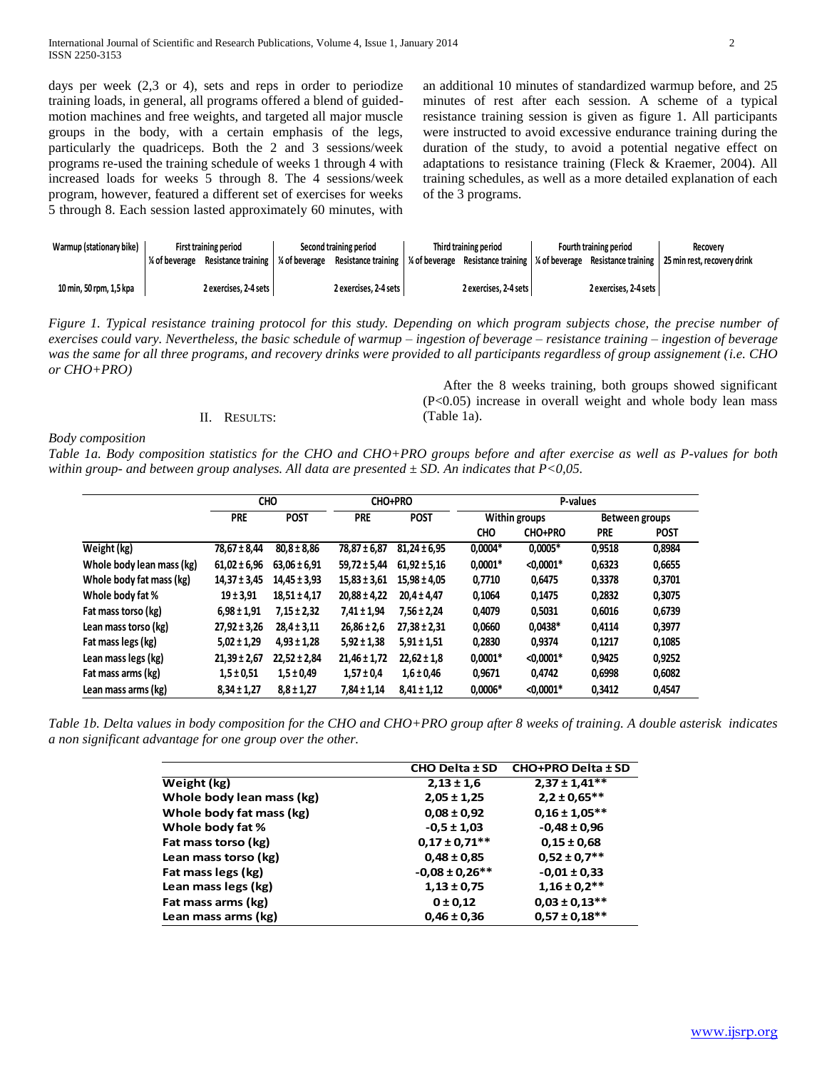days per week (2,3 or 4), sets and reps in order to periodize training loads, in general, all programs offered a blend of guidedmotion machines and free weights, and targeted all major muscle groups in the body, with a certain emphasis of the legs, particularly the quadriceps. Both the 2 and 3 sessions/week programs re-used the training schedule of weeks 1 through 4 with increased loads for weeks 5 through 8. The 4 sessions/week program, however, featured a different set of exercises for weeks 5 through 8. Each session lasted approximately 60 minutes, with

an additional 10 minutes of standardized warmup before, and 25 minutes of rest after each session. A scheme of a typical resistance training session is given as figure 1. All participants were instructed to avoid excessive endurance training during the duration of the study, to avoid a potential negative effect on adaptations to resistance training (Fleck & Kraemer, 2004). All training schedules, as well as a more detailed explanation of each of the 3 programs.

 After the 8 weeks training, both groups showed significant (P<0.05) increase in overall weight and whole body lean mass

| Warmup (stationary bike) | <b>First training period</b> |                       | Second training period |                       | Third training period |                       | Fourth training period |                       | Recovery                                                                                                                                                                            |
|--------------------------|------------------------------|-----------------------|------------------------|-----------------------|-----------------------|-----------------------|------------------------|-----------------------|-------------------------------------------------------------------------------------------------------------------------------------------------------------------------------------|
|                          | % of beverage                | Resistance training   |                        |                       |                       |                       |                        |                       | $\frac{1}{2}$ of beverage Resistance training $\frac{1}{2}$ of beverage Resistance training $\frac{1}{2}$ of beverage Resistance training $\frac{1}{2}$ 25 min rest, recovery drink |
| 10 min, 50 rpm, 1,5 kpa  |                              | 2 exercises, 2-4 sets |                        | 2 exercises, 2-4 sets |                       | 2 exercises. 2-4 sets |                        | 2 exercises, 2-4 sets |                                                                                                                                                                                     |

*Figure 1. Typical resistance training protocol for this study. Depending on which program subjects chose, the precise number of exercises could vary. Nevertheless, the basic schedule of warmup – ingestion of beverage – resistance training – ingestion of beverage was the same for all three programs, and recovery drinks were provided to all participants regardless of group assignement (i.e. CHO or CHO+PRO)*

# II. RESULTS:

*Body composition*

*Table 1a. Body composition statistics for the CHO and CHO+PRO groups before and after exercise as well as P-values for both within group- and between group analyses. All data are presented ± SD. An indicates that P<0,05.* 

(Table 1a).

|                           | <b>CHO</b>       |                  | CHO+PRO          |                  | P-values      |                |                |             |
|---------------------------|------------------|------------------|------------------|------------------|---------------|----------------|----------------|-------------|
|                           | <b>PRE</b>       | <b>POST</b>      | <b>PRE</b>       | <b>POST</b>      | Within groups |                | Between groups |             |
|                           |                  |                  |                  |                  | <b>CHO</b>    | <b>CHO+PRO</b> | <b>PRE</b>     | <b>POST</b> |
| Weight (kg)               | $78,67 \pm 8,44$ | $80,8 \pm 8,86$  | 78,87 ± 6,87     | $81.24 \pm 6.95$ | $0,0004*$     | $0,0005*$      | 0,9518         | 0,8984      |
| Whole body lean mass (kg) | $61,02 \pm 6,96$ | $63,06 \pm 6,91$ | $59,72 \pm 5,44$ | $61.92 \pm 5.16$ | $0,0001*$     | $< 0.0001*$    | 0,6323         | 0,6655      |
| Whole body fat mass (kg)  | $14,37 \pm 3,45$ | $14,45 \pm 3,93$ | $15,83 \pm 3,61$ | $15,98 \pm 4,05$ | 0,7710        | 0,6475         | 0,3378         | 0,3701      |
| Whole body fat %          | $19 \pm 3.91$    | $18.51 \pm 4.17$ | $20,88 \pm 4,22$ | $20.4 \pm 4.47$  | 0,1064        | 0,1475         | 0,2832         | 0,3075      |
| Fat mass torso (kg)       | $6,98 \pm 1,91$  | $7,15 \pm 2,32$  | $7,41 \pm 1,94$  | $7.56 \pm 2.24$  | 0,4079        | 0,5031         | 0,6016         | 0,6739      |
| Lean mass torso (kg)      | $27,92 \pm 3,26$ | $28,4 \pm 3,11$  | $26,86 \pm 2,6$  | $27.38 \pm 2.31$ | 0,0660        | $0,0438*$      | 0,4114         | 0,3977      |
| Fat mass legs (kg)        | $5,02 \pm 1,29$  | $4,93 \pm 1,28$  | $5,92 \pm 1,38$  | $5,91 \pm 1,51$  | 0,2830        | 0,9374         | 0,1217         | 0,1085      |
| Lean mass legs (kg)       | $21,39 \pm 2,67$ | $22.52 \pm 2.84$ | $21,46 \pm 1,72$ | $22.62 \pm 1.8$  | $0,0001*$     | $< 0.0001*$    | 0.9425         | 0,9252      |
| Fat mass arms (kg)        | $1,5 \pm 0,51$   | $1,5 \pm 0.49$   | $1,57 \pm 0.4$   | $1,6 \pm 0,46$   | 0,9671        | 0,4742         | 0,6998         | 0,6082      |
| Lean mass arms (kg)       | $8,34 \pm 1,27$  | $8,8 \pm 1,27$   | $7,84 \pm 1,14$  | $8,41 \pm 1,12$  | $0,0006*$     | $< 0.0001*$    | 0,3412         | 0,4547      |

*Table 1b. Delta values in body composition for the CHO and CHO+PRO group after 8 weeks of training. A double asterisk indicates a non significant advantage for one group over the other.*

|                           | <b>CHO Delta ± SD</b> | CHO+PRO Delta ± SD |
|---------------------------|-----------------------|--------------------|
| Weight (kg)               | $2,13 \pm 1,6$        | $2,37 \pm 1,41**$  |
| Whole body lean mass (kg) | $2,05 \pm 1,25$       | $2,2 \pm 0.65***$  |
| Whole body fat mass (kg)  | $0.08 \pm 0.92$       | $0,16 \pm 1,05***$ |
| Whole body fat %          | $-0.5 \pm 1.03$       | $-0,48 \pm 0,96$   |
| Fat mass torso (kg)       | $0.17 \pm 0.71$ **    | $0.15 \pm 0.68$    |
| Lean mass torso (kg)      | $0,48 \pm 0,85$       | $0.52 \pm 0.7$ **  |
| Fat mass legs (kg)        | $-0.08 \pm 0.26$ **   | $-0.01 \pm 0.33$   |
| Lean mass legs (kg)       | $1,13 \pm 0,75$       | $1,16 \pm 0.2$ **  |
| Fat mass arms (kg)        | 0 ± 0.12              | $0,03 \pm 0,13**$  |
| Lean mass arms (kg)       | $0,46 \pm 0,36$       | $0,57 \pm 0,18***$ |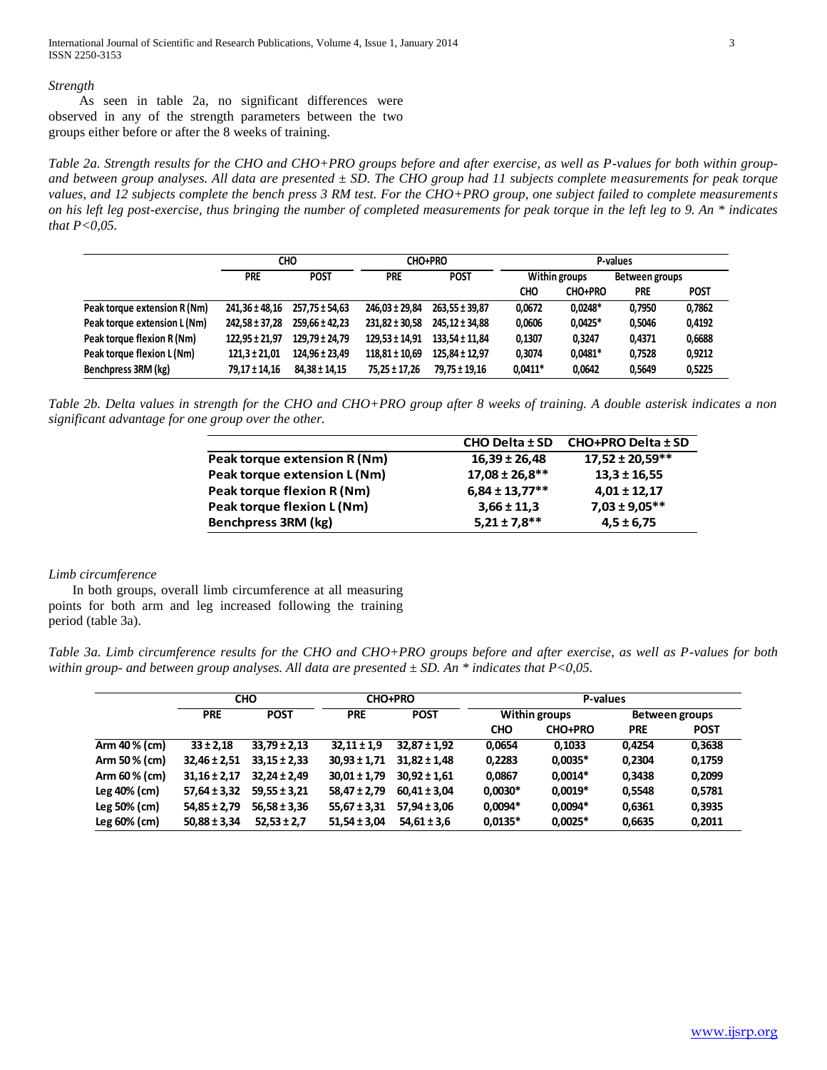International Journal of Scientific and Research Publications, Volume 4, Issue 1, January 2014 3 ISSN 2250-3153

#### *Strength*

 As seen in table 2a, no significant differences were observed in any of the strength parameters between the two groups either before or after the 8 weeks of training.

*Table 2a. Strength results for the CHO and CHO+PRO groups before and after exercise, as well as P-values for both within groupand between group analyses. All data are presented ± SD. The CHO group had 11 subjects complete measurements for peak torque values, and 12 subjects complete the bench press 3 RM test. For the CHO+PRO group, one subject failed to complete measurements on his left leg post-exercise, thus bringing the number of completed measurements for peak torque in the left leg to 9. An \* indicates that P<0,05.*

|                              | CHO                |                    | CHO+PRO            |                    | P-values      |           |                |             |
|------------------------------|--------------------|--------------------|--------------------|--------------------|---------------|-----------|----------------|-------------|
|                              | <b>PRE</b>         | <b>POST</b>        | <b>PRE</b>         | <b>POST</b>        | Within groups |           | Between groups |             |
|                              |                    |                    |                    |                    | CHO           | CHO+PRO   | <b>PRE</b>     | <b>POST</b> |
| Peak torque extension R (Nm) | 241.36 ± 48.16     | 257.75 ± 54.63     | 246.03 ± 29.84     | $263.55 \pm 39.87$ | 0.0672        | $0.0248*$ | 0.7950         | 0,7862      |
| Peak torque extension L (Nm) | $242.58 \pm 37.28$ | $259.66 \pm 42.23$ | $231.82 \pm 30.58$ | 245.12 ± 34.88     | 0.0606        | $0,0425*$ | 0,5046         | 0,4192      |
| Peak torque flexion R (Nm)   | $122.95 \pm 21.97$ | 129.79 ± 24.79     | $129.53 \pm 14.91$ | 133.54 ± 11.84     | 0,1307        | 0.3247    | 0,4371         | 0,6688      |
| Peak torque flexion L (Nm)   | $121.3 \pm 21.01$  | 124.96 ± 23.49     | $118,81 \pm 10,69$ | $125.84 \pm 12.97$ | 0.3074        | $0,0481*$ | 0,7528         | 0,9212      |
| Benchpress 3RM (kg)          | 79,17 ± 14,16      | $84.38 \pm 14.15$  | 75,25 ± 17,26      | 79.75 ± 19.16      | $0,0411*$     | 0.0642    | 0.5649         | 0,5225      |

*Table 2b. Delta values in strength for the CHO and CHO+PRO group after 8 weeks of training. A double asterisk indicates a non significant advantage for one group over the other.*

|                              | $CHO$ Delta $±$ SD  | CHO+PRO Delta ± SD  |
|------------------------------|---------------------|---------------------|
| Peak torque extension R (Nm) | $16,39 \pm 26,48$   | $17,52 \pm 20,59**$ |
| Peak torque extension L (Nm) | $17,08 \pm 26,8$ ** | $13.3 \pm 16.55$    |
| Peak torque flexion R (Nm)   | $6,84 \pm 13,77$ ** | $4,01 \pm 12,17$    |
| Peak torque flexion L (Nm)   | $3,66 \pm 11,3$     | $7,03 \pm 9,05***$  |
| Benchpress 3RM (kg)          | $5,21 \pm 7,8$ **   | $4,5 \pm 6,75$      |

#### *Limb circumference*

 In both groups, overall limb circumference at all measuring points for both arm and leg increased following the training period (table 3a).

*Table 3a. Limb circumference results for the CHO and CHO+PRO groups before and after exercise, as well as P-values for both within group- and between group analyses. All data are presented ± SD. An \* indicates that P<0,05.*

|                 |                           | <b>CHO</b>       | <b>CHO+PRO</b>            |                  | P-values      |                |                |             |  |
|-----------------|---------------------------|------------------|---------------------------|------------------|---------------|----------------|----------------|-------------|--|
|                 | <b>POST</b><br><b>PRE</b> |                  | <b>POST</b><br><b>PRE</b> |                  | Within groups |                | Between groups |             |  |
|                 |                           |                  |                           |                  | <b>CHO</b>    | <b>CHO+PRO</b> | <b>PRE</b>     | <b>POST</b> |  |
| Arm 40 % (cm)   | $33 \pm 2.18$             | $33.79 \pm 2.13$ | $32,11 \pm 1,9$           | $32.87 \pm 1.92$ | 0,0654        | 0,1033         | 0.4254         | 0,3638      |  |
| Arm 50 % (cm)   | $32,46 \pm 2,51$          | $33.15 \pm 2.33$ | $30,93 \pm 1,71$          | $31.82 \pm 1.48$ | 0,2283        | $0,0035*$      | 0,2304         | 0,1759      |  |
| Arm 60 $%$ (cm) | $31.16 \pm 2.17$          | $32.24 \pm 2.49$ | $30.01 \pm 1.79$          | $30.92 \pm 1.61$ | 0,0867        | $0.0014*$      | 0.3438         | 0,2099      |  |
| Leg 40% (cm)    | $57,64 \pm 3,32$          | $59,55 \pm 3,21$ | $58,47 \pm 2,79$          | $60,41 \pm 3,04$ | $0,0030*$     | $0,0019*$      | 0,5548         | 0,5781      |  |
| Leg 50% (cm)    | $54,85 \pm 2,79$          | $56.58 \pm 3.36$ | $55,67 \pm 3,31$          | $57.94 \pm 3.06$ | $0.0094*$     | $0.0094*$      | 0,6361         | 0,3935      |  |
| Leg $60\%$ (cm) | $50,88 \pm 3,34$          | $52,53 \pm 2,7$  | $51,54 \pm 3,04$          | $54,61 \pm 3,6$  | $0,0135*$     | $0,0025*$      | 0,6635         | 0,2011      |  |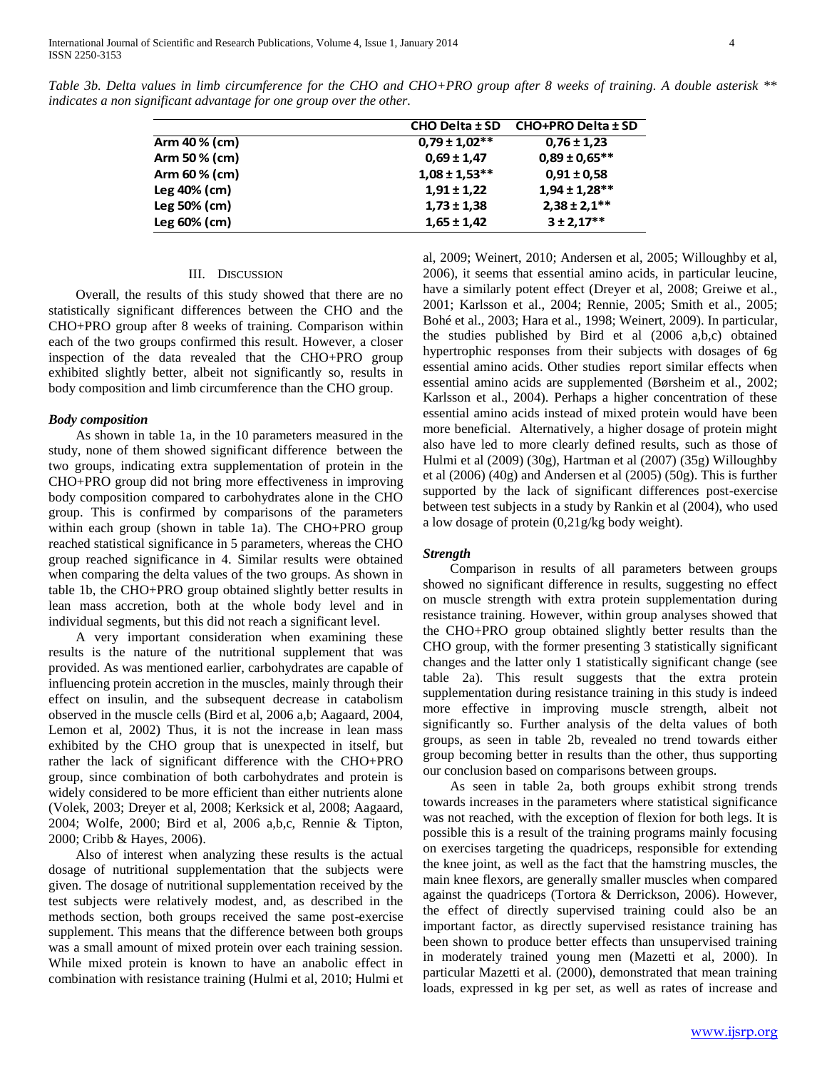|                 | $CHO$ Delta $±$ SD | CHO+PRO Delta ± SD |
|-----------------|--------------------|--------------------|
| Arm 40 % (cm)   | $0,79 \pm 1,02**$  | $0,76 \pm 1,23$    |
| Arm 50 % (cm)   | $0.69 \pm 1.47$    | $0.89 \pm 0.65***$ |
| Arm 60 $%$ (cm) | $1,08 \pm 1,53$ ** | $0.91 \pm 0.58$    |
| Leg 40% (cm)    | $1,91 \pm 1,22$    | $1,94 \pm 1,28**$  |
| Leg 50% (cm)    | $1,73 \pm 1,38$    | $2,38 \pm 2,1$ **  |
| Leg $60\%$ (cm) | $1,65 \pm 1,42$    | $3 \pm 2,17$ **    |

*Table 3b. Delta values in limb circumference for the CHO and CHO+PRO group after 8 weeks of training. A double asterisk \*\* indicates a non significant advantage for one group over the other.*

#### III. DISCUSSION

 Overall, the results of this study showed that there are no statistically significant differences between the CHO and the CHO+PRO group after 8 weeks of training. Comparison within each of the two groups confirmed this result. However, a closer inspection of the data revealed that the CHO+PRO group exhibited slightly better, albeit not significantly so, results in body composition and limb circumference than the CHO group.

#### *Body composition*

 As shown in table 1a, in the 10 parameters measured in the study, none of them showed significant difference between the two groups, indicating extra supplementation of protein in the CHO+PRO group did not bring more effectiveness in improving body composition compared to carbohydrates alone in the CHO group. This is confirmed by comparisons of the parameters within each group (shown in table 1a). The CHO+PRO group reached statistical significance in 5 parameters, whereas the CHO group reached significance in 4. Similar results were obtained when comparing the delta values of the two groups. As shown in table 1b, the CHO+PRO group obtained slightly better results in lean mass accretion, both at the whole body level and in individual segments, but this did not reach a significant level.

 A very important consideration when examining these results is the nature of the nutritional supplement that was provided. As was mentioned earlier, carbohydrates are capable of influencing protein accretion in the muscles, mainly through their effect on insulin, and the subsequent decrease in catabolism observed in the muscle cells (Bird et al, 2006 a,b; Aagaard, 2004, Lemon et al, 2002) Thus, it is not the increase in lean mass exhibited by the CHO group that is unexpected in itself, but rather the lack of significant difference with the CHO+PRO group, since combination of both carbohydrates and protein is widely considered to be more efficient than either nutrients alone (Volek, 2003; Dreyer et al, 2008; Kerksick et al, 2008; Aagaard, 2004; Wolfe, 2000; Bird et al, 2006 a,b,c, Rennie & Tipton, 2000; Cribb & Hayes, 2006).

 Also of interest when analyzing these results is the actual dosage of nutritional supplementation that the subjects were given. The dosage of nutritional supplementation received by the test subjects were relatively modest, and, as described in the methods section, both groups received the same post-exercise supplement. This means that the difference between both groups was a small amount of mixed protein over each training session. While mixed protein is known to have an anabolic effect in combination with resistance training (Hulmi et al, 2010; Hulmi et

al, 2009; Weinert, 2010; Andersen et al, 2005; Willoughby et al, 2006), it seems that essential amino acids, in particular leucine, have a similarly potent effect (Dreyer et al, 2008; Greiwe et al., 2001; Karlsson et al., 2004; Rennie, 2005; Smith et al., 2005; Bohé et al., 2003; Hara et al., 1998; Weinert, 2009). In particular, the studies published by Bird et al (2006 a,b,c) obtained hypertrophic responses from their subjects with dosages of 6g essential amino acids. Other studies report similar effects when essential amino acids are supplemented (Børsheim et al., 2002; Karlsson et al., 2004). Perhaps a higher concentration of these essential amino acids instead of mixed protein would have been more beneficial. Alternatively, a higher dosage of protein might also have led to more clearly defined results, such as those of Hulmi et al (2009) (30g), Hartman et al (2007) (35g) Willoughby et al (2006) (40g) and Andersen et al (2005) (50g). This is further supported by the lack of significant differences post-exercise between test subjects in a study by Rankin et al (2004), who used a low dosage of protein (0,21g/kg body weight).

# *Strength*

 Comparison in results of all parameters between groups showed no significant difference in results, suggesting no effect on muscle strength with extra protein supplementation during resistance training. However, within group analyses showed that the CHO+PRO group obtained slightly better results than the CHO group, with the former presenting 3 statistically significant changes and the latter only 1 statistically significant change (see table 2a). This result suggests that the extra protein supplementation during resistance training in this study is indeed more effective in improving muscle strength, albeit not significantly so. Further analysis of the delta values of both groups, as seen in table 2b, revealed no trend towards either group becoming better in results than the other, thus supporting our conclusion based on comparisons between groups.

 As seen in table 2a, both groups exhibit strong trends towards increases in the parameters where statistical significance was not reached, with the exception of flexion for both legs. It is possible this is a result of the training programs mainly focusing on exercises targeting the quadriceps, responsible for extending the knee joint, as well as the fact that the hamstring muscles, the main knee flexors, are generally smaller muscles when compared against the quadriceps (Tortora & Derrickson, 2006). However, the effect of directly supervised training could also be an important factor, as directly supervised resistance training has been shown to produce better effects than unsupervised training in moderately trained young men (Mazetti et al, 2000). In particular Mazetti et al. (2000), demonstrated that mean training loads, expressed in kg per set, as well as rates of increase and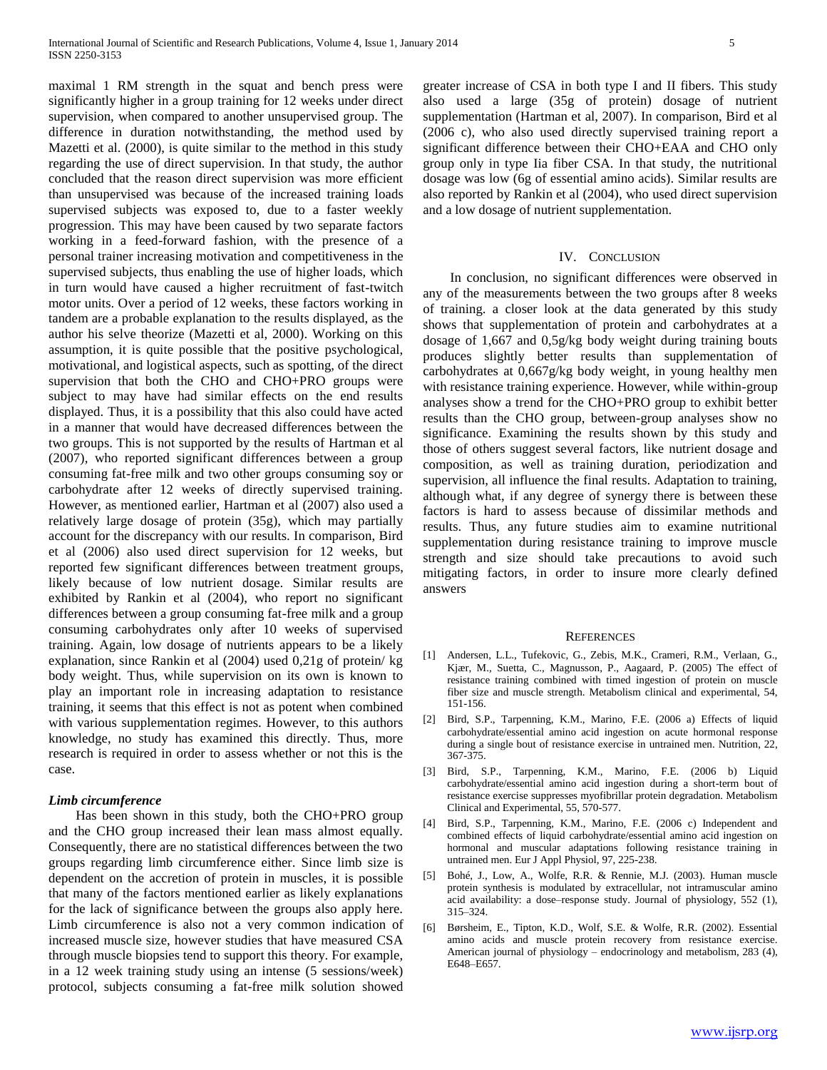maximal 1 RM strength in the squat and bench press were significantly higher in a group training for 12 weeks under direct supervision, when compared to another unsupervised group. The difference in duration notwithstanding, the method used by Mazetti et al. (2000), is quite similar to the method in this study regarding the use of direct supervision. In that study, the author concluded that the reason direct supervision was more efficient than unsupervised was because of the increased training loads supervised subjects was exposed to, due to a faster weekly progression. This may have been caused by two separate factors working in a feed-forward fashion, with the presence of a personal trainer increasing motivation and competitiveness in the supervised subjects, thus enabling the use of higher loads, which in turn would have caused a higher recruitment of fast-twitch motor units. Over a period of 12 weeks, these factors working in tandem are a probable explanation to the results displayed, as the author his selve theorize (Mazetti et al, 2000). Working on this assumption, it is quite possible that the positive psychological, motivational, and logistical aspects, such as spotting, of the direct supervision that both the CHO and CHO+PRO groups were subject to may have had similar effects on the end results displayed. Thus, it is a possibility that this also could have acted in a manner that would have decreased differences between the two groups. This is not supported by the results of Hartman et al (2007), who reported significant differences between a group consuming fat-free milk and two other groups consuming soy or carbohydrate after 12 weeks of directly supervised training. However, as mentioned earlier, Hartman et al (2007) also used a relatively large dosage of protein (35g), which may partially account for the discrepancy with our results. In comparison, Bird et al (2006) also used direct supervision for 12 weeks, but reported few significant differences between treatment groups, likely because of low nutrient dosage. Similar results are exhibited by Rankin et al (2004), who report no significant differences between a group consuming fat-free milk and a group consuming carbohydrates only after 10 weeks of supervised training. Again, low dosage of nutrients appears to be a likely explanation, since Rankin et al (2004) used 0,21g of protein/ kg body weight. Thus, while supervision on its own is known to play an important role in increasing adaptation to resistance training, it seems that this effect is not as potent when combined with various supplementation regimes. However, to this authors knowledge, no study has examined this directly. Thus, more research is required in order to assess whether or not this is the case.

# *Limb circumference*

 Has been shown in this study, both the CHO+PRO group and the CHO group increased their lean mass almost equally. Consequently, there are no statistical differences between the two groups regarding limb circumference either. Since limb size is dependent on the accretion of protein in muscles, it is possible that many of the factors mentioned earlier as likely explanations for the lack of significance between the groups also apply here. Limb circumference is also not a very common indication of increased muscle size, however studies that have measured CSA through muscle biopsies tend to support this theory. For example, in a 12 week training study using an intense (5 sessions/week) protocol, subjects consuming a fat-free milk solution showed greater increase of CSA in both type I and II fibers. This study also used a large (35g of protein) dosage of nutrient supplementation (Hartman et al, 2007). In comparison, Bird et al (2006 c), who also used directly supervised training report a significant difference between their CHO+EAA and CHO only group only in type Iia fiber CSA. In that study, the nutritional dosage was low (6g of essential amino acids). Similar results are also reported by Rankin et al (2004), who used direct supervision and a low dosage of nutrient supplementation.

### IV. CONCLUSION

 In conclusion, no significant differences were observed in any of the measurements between the two groups after 8 weeks of training. a closer look at the data generated by this study shows that supplementation of protein and carbohydrates at a dosage of 1,667 and 0,5g/kg body weight during training bouts produces slightly better results than supplementation of carbohydrates at 0,667g/kg body weight, in young healthy men with resistance training experience. However, while within-group analyses show a trend for the CHO+PRO group to exhibit better results than the CHO group, between-group analyses show no significance. Examining the results shown by this study and those of others suggest several factors, like nutrient dosage and composition, as well as training duration, periodization and supervision, all influence the final results. Adaptation to training, although what, if any degree of synergy there is between these factors is hard to assess because of dissimilar methods and results. Thus, any future studies aim to examine nutritional supplementation during resistance training to improve muscle strength and size should take precautions to avoid such mitigating factors, in order to insure more clearly defined answers

#### **REFERENCES**

- [1] Andersen, L.L., Tufekovic, G., Zebis, M.K., Crameri, R.M., Verlaan, G., Kjær, M., Suetta, C., Magnusson, P., Aagaard, P. (2005) The effect of resistance training combined with timed ingestion of protein on muscle fiber size and muscle strength. Metabolism clinical and experimental, 54, 151-156.
- [2] Bird, S.P., Tarpenning, K.M., Marino, F.E. (2006 a) Effects of liquid carbohydrate/essential amino acid ingestion on acute hormonal response during a single bout of resistance exercise in untrained men. Nutrition, 22, 367-375.
- [3] Bird, S.P., Tarpenning, K.M., Marino, F.E. (2006 b) Liquid carbohydrate/essential amino acid ingestion during a short-term bout of resistance exercise suppresses myofibrillar protein degradation. Metabolism Clinical and Experimental, 55, 570-577.
- Bird, S.P., Tarpenning, K.M., Marino, F.E. (2006 c) Independent and combined effects of liquid carbohydrate/essential amino acid ingestion on hormonal and muscular adaptations following resistance training in untrained men. Eur J Appl Physiol, 97, 225-238.
- [5] Bohé, J., Low, A., Wolfe, R.R. & Rennie, M.J. (2003). Human muscle protein synthesis is modulated by extracellular, not intramuscular amino acid availability: a dose–response study. Journal of physiology, 552 (1), 315–324.
- [6] Børsheim, E., Tipton, K.D., Wolf, S.E. & Wolfe, R.R. (2002). Essential amino acids and muscle protein recovery from resistance exercise. American journal of physiology – endocrinology and metabolism, 283 (4), E648–E657.